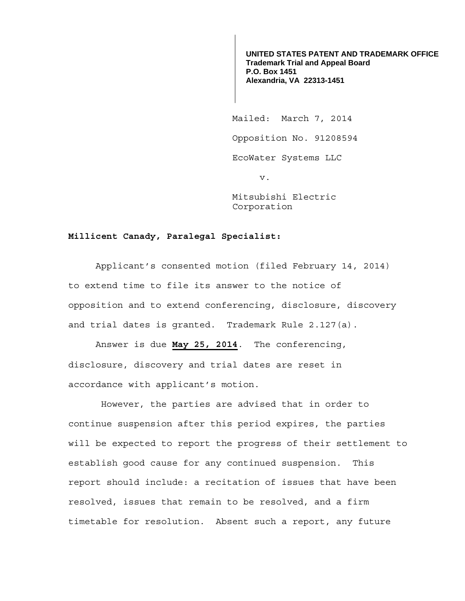**UNITED STATES PATENT AND TRADEMARK OFFICE Trademark Trial and Appeal Board P.O. Box 1451 Alexandria, VA 22313-1451**

 Mailed: March 7, 2014 Opposition No. 91208594 EcoWater Systems LLC v.

> Mitsubishi Electric Corporation

## **Millicent Canady, Paralegal Specialist:**

 Applicant's consented motion (filed February 14, 2014) to extend time to file its answer to the notice of opposition and to extend conferencing, disclosure, discovery and trial dates is granted. Trademark Rule 2.127(a).

 Answer is due **May 25, 2014**. The conferencing, disclosure, discovery and trial dates are reset in accordance with applicant's motion.

 However, the parties are advised that in order to continue suspension after this period expires, the parties will be expected to report the progress of their settlement to establish good cause for any continued suspension. This report should include: a recitation of issues that have been resolved, issues that remain to be resolved, and a firm timetable for resolution. Absent such a report, any future